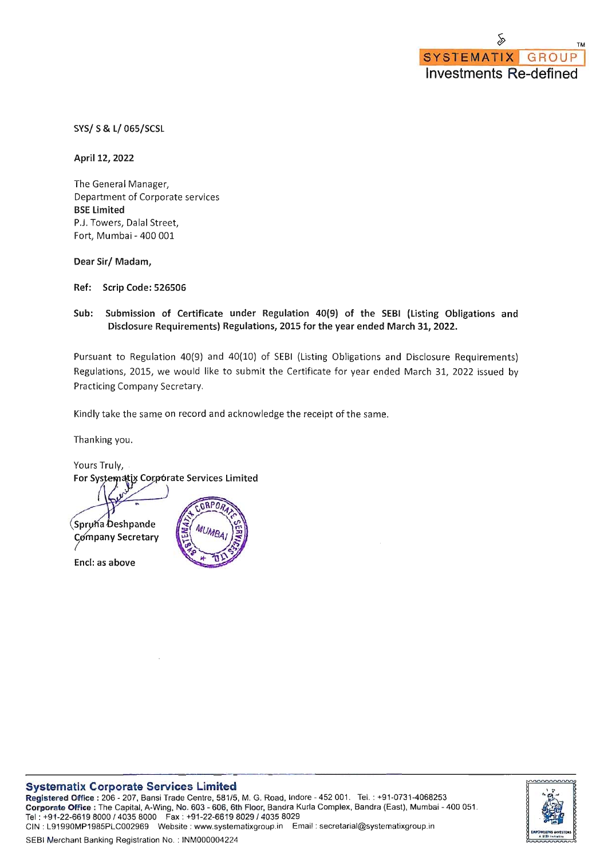SYS/ S & L/ 065/SCSL

April 12, 2022

The General Manager, Department of Corporate services **BSE Limited** P.J. Towers, Dalal Street, Fort, Mumbai - 400 001

Dear Sir/ Madam,

Ref: Scrip Code: 526506

## Sub: Submission of Certificate under Regulation 40(9) of the SEBI (Listing Obligations and Disclosure Requirements) Regulations, 2015 for the year ended March 31, 2022.

Pursuant to Regulation 40(9) and 40(10) of SEBI (Listing Obligations and Disclosure Requirements) Regulations, 2015, we would like to submit the Certificate for year ended March 31, 2022 issued by Practicing Company Secretary.

Kindly take the same on record and acknowledge the receipt of the same.

Thanking you.

Yours Truly, For Systematix Corpórate Services Limited n RP N Spruha Deshpande Company Secretary

Encl: as above



Registered Diffice: 206 - 207, Bansi Trade Centre, 581/5, M. G. Road, Indore - 452 001. Tel.: +91-0731-4068253 Coriporate Office : The Capital, A-Wing, No. 603 - 606, 6th Floor, Bandra Kurla Complex, Bandra (East), Mumbai - 400 051. Tel: +91-22-6619 8000 / 4035 8000 Fax: +91-22-6619 8029 / 4035 8029 CIN: L91990MP1985PLC002969 Website: www.systematixgroup.in Email: secretarial@systematixgroup.in



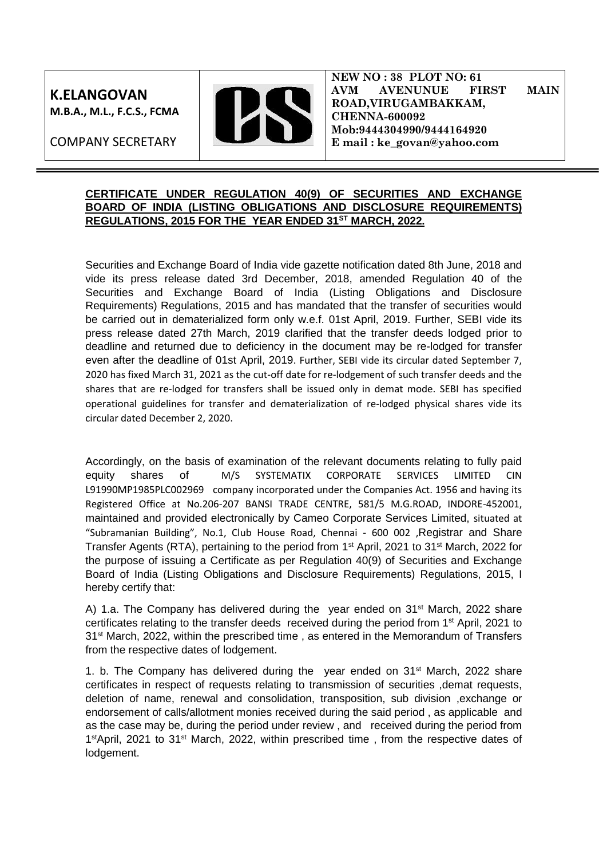**K.ELANGOVAN M.B.A., M.L., F.C.S., FCMA**

COMPANY SECRETARY



**NEW NO : 38 PLOT NO: 61 AVM AVENUNUE FIRST MAIN ROAD,VIRUGAMBAKKAM, CHENNA-600092 Mob:9444304990/9444164920 E mail : ke\_govan@yahoo.com**

## **CERTIFICATE UNDER REGULATION 40(9) OF SECURITIES AND EXCHANGE BOARD OF INDIA (LISTING OBLIGATIONS AND DISCLOSURE REQUIREMENTS) REGULATIONS, 2015 FOR THE YEAR ENDED 31ST MARCH, 2022.**

Securities and Exchange Board of India vide gazette notification dated 8th June, 2018 and vide its press release dated 3rd December, 2018, amended Regulation 40 of the Securities and Exchange Board of India (Listing Obligations and Disclosure Requirements) Regulations, 2015 and has mandated that the transfer of securities would be carried out in dematerialized form only w.e.f. 01st April, 2019. Further, SEBI vide its press release dated 27th March, 2019 clarified that the transfer deeds lodged prior to deadline and returned due to deficiency in the document may be re-lodged for transfer even after the deadline of 01st April, 2019. Further, SEBI vide its circular dated September 7, 2020 has fixed March 31, 2021 as the cut-off date for re-lodgement of such transfer deeds and the shares that are re-lodged for transfers shall be issued only in demat mode. SEBI has specified operational guidelines for transfer and dematerialization of re-lodged physical shares vide its circular dated December 2, 2020.

Accordingly, on the basis of examination of the relevant documents relating to fully paid equity shares of M/S SYSTEMATIX CORPORATE SERVICES LIMITED L91990MP1985PLC002969 company incorporated under the Companies Act. 1956 and having its Registered Office at No.206-207 BANSI TRADE CENTRE, 581/5 M.G.ROAD, INDORE-452001, maintained and provided electronically by Cameo Corporate Services Limited, situated at "Subramanian Building", No.1, Club House Road, Chennai - 600 002 ,Registrar and Share Transfer Agents (RTA), pertaining to the period from 1<sup>st</sup> April, 2021 to 31<sup>st</sup> March, 2022 for the purpose of issuing a Certificate as per Regulation 40(9) of Securities and Exchange Board of India (Listing Obligations and Disclosure Requirements) Regulations, 2015, I hereby certify that:

A) 1.a. The Company has delivered during the year ended on  $31^{st}$  March, 2022 share certificates relating to the transfer deeds received during the period from 1st April, 2021 to 31<sup>st</sup> March, 2022, within the prescribed time, as entered in the Memorandum of Transfers from the respective dates of lodgement.

1. b. The Company has delivered during the year ended on 31st March, 2022 share certificates in respect of requests relating to transmission of securities ,demat requests, deletion of name, renewal and consolidation, transposition, sub division ,exchange or endorsement of calls/allotment monies received during the said period , as applicable and as the case may be, during the period under review , and received during the period from 1<sup>st</sup>April, 2021 to 31<sup>st</sup> March, 2022, within prescribed time, from the respective dates of lodgement.